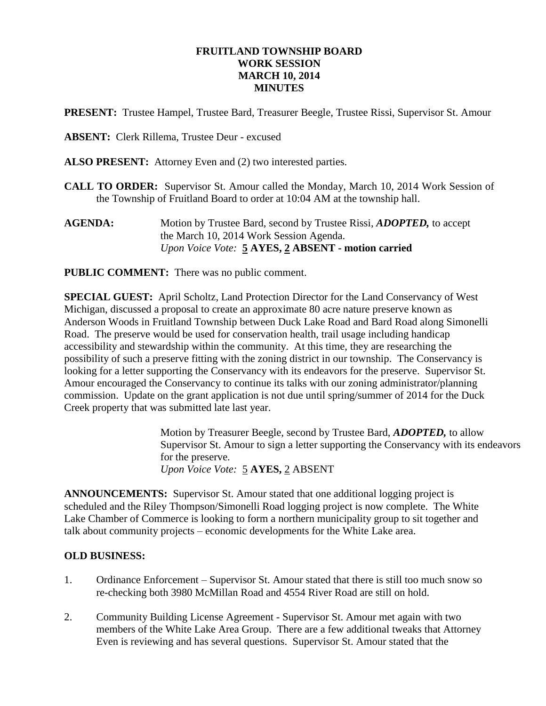#### **FRUITLAND TOWNSHIP BOARD WORK SESSION MARCH 10, 2014 MINUTES**

**PRESENT:** Trustee Hampel, Trustee Bard, Treasurer Beegle, Trustee Rissi, Supervisor St. Amour

**ABSENT:** Clerk Rillema, Trustee Deur - excused

**ALSO PRESENT:** Attorney Even and (2) two interested parties.

- **CALL TO ORDER:** Supervisor St. Amour called the Monday, March 10, 2014 Work Session of the Township of Fruitland Board to order at 10:04 AM at the township hall.
- **AGENDA:** Motion by Trustee Bard, second by Trustee Rissi, *ADOPTED,* to accept the March 10, 2014 Work Session Agenda. *Upon Voice Vote:* **5 AYES, 2 ABSENT - motion carried**

**PUBLIC COMMENT:** There was no public comment.

**SPECIAL GUEST:** April Scholtz, Land Protection Director for the Land Conservancy of West Michigan, discussed a proposal to create an approximate 80 acre nature preserve known as Anderson Woods in Fruitland Township between Duck Lake Road and Bard Road along Simonelli Road. The preserve would be used for conservation health, trail usage including handicap accessibility and stewardship within the community. At this time, they are researching the possibility of such a preserve fitting with the zoning district in our township. The Conservancy is looking for a letter supporting the Conservancy with its endeavors for the preserve. Supervisor St. Amour encouraged the Conservancy to continue its talks with our zoning administrator/planning commission. Update on the grant application is not due until spring/summer of 2014 for the Duck Creek property that was submitted late last year.

> Motion by Treasurer Beegle, second by Trustee Bard, *ADOPTED,* to allow Supervisor St. Amour to sign a letter supporting the Conservancy with its endeavors for the preserve. *Upon Voice Vote:* 5 **AYES,** 2 ABSENT

**ANNOUNCEMENTS:** Supervisor St. Amour stated that one additional logging project is scheduled and the Riley Thompson/Simonelli Road logging project is now complete. The White Lake Chamber of Commerce is looking to form a northern municipality group to sit together and talk about community projects – economic developments for the White Lake area.

#### **OLD BUSINESS:**

- 1. Ordinance Enforcement Supervisor St. Amour stated that there is still too much snow so re-checking both 3980 McMillan Road and 4554 River Road are still on hold.
- 2. Community Building License Agreement Supervisor St. Amour met again with two members of the White Lake Area Group. There are a few additional tweaks that Attorney Even is reviewing and has several questions. Supervisor St. Amour stated that the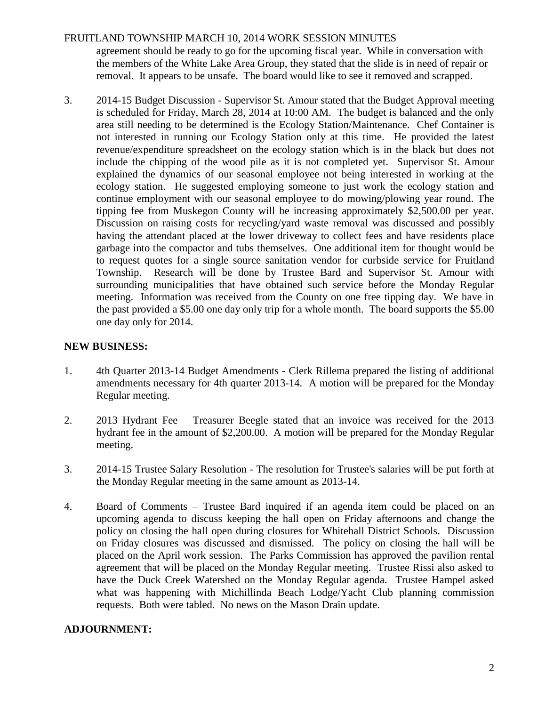### FRUITLAND TOWNSHIP MARCH 10, 2014 WORK SESSION MINUTES

agreement should be ready to go for the upcoming fiscal year. While in conversation with the members of the White Lake Area Group, they stated that the slide is in need of repair or removal. It appears to be unsafe. The board would like to see it removed and scrapped.

3. 2014-15 Budget Discussion - Supervisor St. Amour stated that the Budget Approval meeting is scheduled for Friday, March 28, 2014 at 10:00 AM. The budget is balanced and the only area still needing to be determined is the Ecology Station/Maintenance. Chef Container is not interested in running our Ecology Station only at this time. He provided the latest revenue/expenditure spreadsheet on the ecology station which is in the black but does not include the chipping of the wood pile as it is not completed yet. Supervisor St. Amour explained the dynamics of our seasonal employee not being interested in working at the ecology station. He suggested employing someone to just work the ecology station and continue employment with our seasonal employee to do mowing/plowing year round. The tipping fee from Muskegon County will be increasing approximately \$2,500.00 per year. Discussion on raising costs for recycling/yard waste removal was discussed and possibly having the attendant placed at the lower driveway to collect fees and have residents place garbage into the compactor and tubs themselves. One additional item for thought would be to request quotes for a single source sanitation vendor for curbside service for Fruitland Township. Research will be done by Trustee Bard and Supervisor St. Amour with surrounding municipalities that have obtained such service before the Monday Regular meeting. Information was received from the County on one free tipping day. We have in the past provided a \$5.00 one day only trip for a whole month. The board supports the \$5.00 one day only for 2014.

### **NEW BUSINESS:**

- 1. 4th Quarter 2013-14 Budget Amendments Clerk Rillema prepared the listing of additional amendments necessary for 4th quarter 2013-14. A motion will be prepared for the Monday Regular meeting.
- 2. 2013 Hydrant Fee Treasurer Beegle stated that an invoice was received for the 2013 hydrant fee in the amount of \$2,200.00. A motion will be prepared for the Monday Regular meeting.
- 3. 2014-15 Trustee Salary Resolution The resolution for Trustee's salaries will be put forth at the Monday Regular meeting in the same amount as 2013-14.
- 4. Board of Comments Trustee Bard inquired if an agenda item could be placed on an upcoming agenda to discuss keeping the hall open on Friday afternoons and change the policy on closing the hall open during closures for Whitehall District Schools. Discussion on Friday closures was discussed and dismissed. The policy on closing the hall will be placed on the April work session. The Parks Commission has approved the pavilion rental agreement that will be placed on the Monday Regular meeting. Trustee Rissi also asked to have the Duck Creek Watershed on the Monday Regular agenda. Trustee Hampel asked what was happening with Michillinda Beach Lodge/Yacht Club planning commission requests. Both were tabled. No news on the Mason Drain update.

# **ADJOURNMENT:**